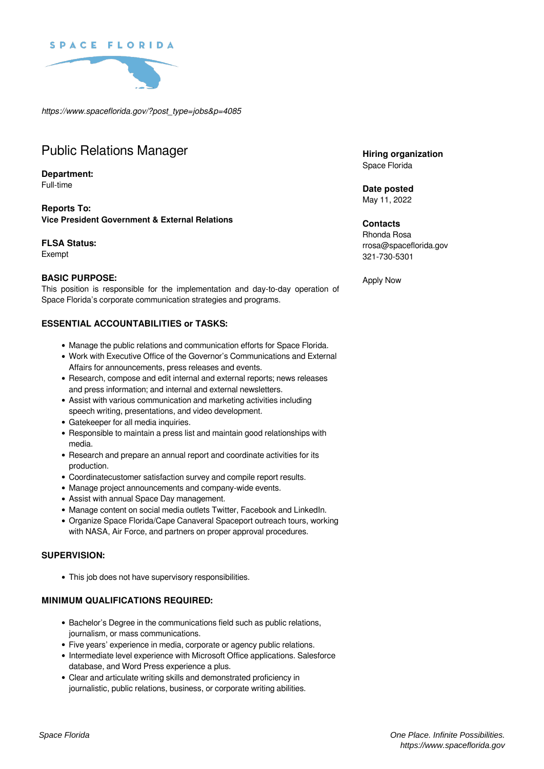



*https://www.spaceflorida.gov/?post\_type=jobs&p=4085*

# Public Relations Manager

#### **Department:** Full-time

**Reports To: Vice President Government & External Relations**

# **FLSA Status:**

Exempt

# **BASIC PURPOSE:**

This position is responsible for the implementation and day-to-day operation of Space Florida's corporate communication strategies and programs.

# **ESSENTIAL ACCOUNTABILITIES or TASKS:**

- Manage the public relations and communication efforts for Space Florida.
- Work with Executive Office of the Governor's Communications and External Affairs for announcements, press releases and events.
- Research, compose and edit internal and external reports; news releases and press information; and internal and external newsletters.
- Assist with various communication and marketing activities including speech writing, presentations, and video development.
- Gatekeeper for all media inquiries.
- Responsible to maintain a press list and maintain good relationships with media.
- Research and prepare an annual report and coordinate activities for its production.
- Coordinatecustomer satisfaction survey and compile report results.
- Manage project announcements and company-wide events.
- Assist with annual Space Day management.
- Manage content on social media outlets Twitter, Facebook and LinkedIn.
- Organize Space Florida/Cape Canaveral Spaceport outreach tours, working with NASA, Air Force, and partners on proper approval procedures.

#### **SUPERVISION:**

This job does not have supervisory responsibilities.

# **MINIMUM QUALIFICATIONS REQUIRED:**

- Bachelor's Degree in the communications field such as public relations, journalism, or mass communications.
- Five years' experience in media, corporate or agency public relations.
- Intermediate level experience with Microsoft Office applications. Salesforce database, and Word Press experience a plus.
- Clear and articulate writing skills and demonstrated proficiency in journalistic, public relations, business, or corporate writing abilities.

**Hiring organization** Space Florida

**Date posted** May 11, 2022

#### **Contacts**

Rhonda Rosa rrosa@spaceflorida.gov 321-730-5301

Apply Now